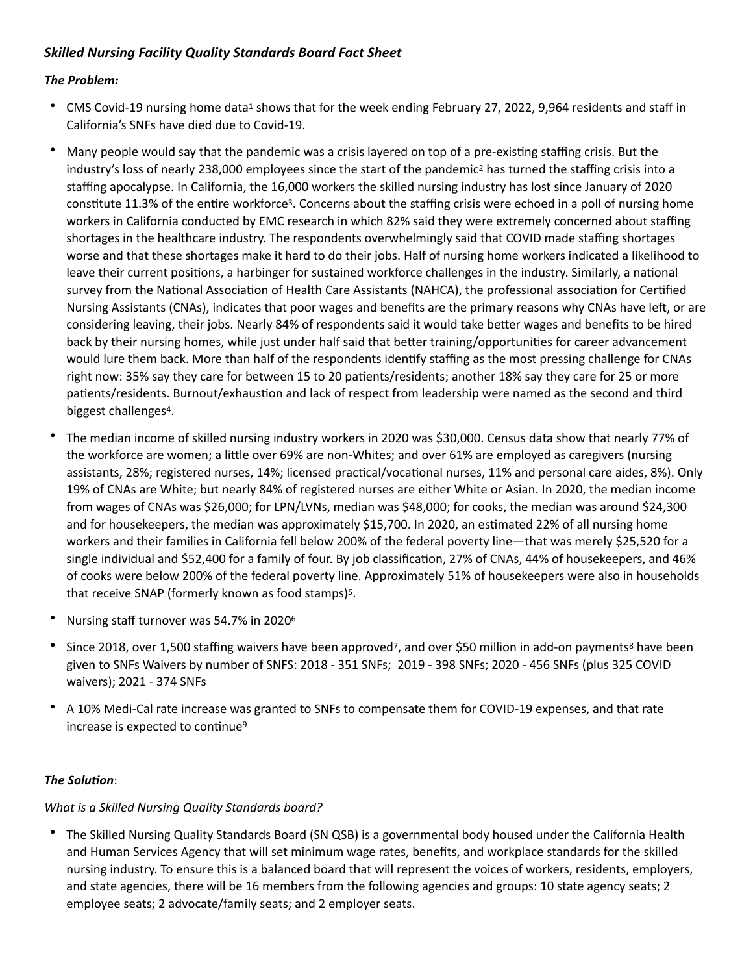# **Skilled Nursing Facility Quality Standards Board Fact Sheet**

## *The Problem:*

- <span id="page-0-0"></span>• CMS Covid-[1](#page-2-0)9 nursing home data<sup>1</sup> shows that for the week ending February 27, 2022, 9,964 residents and staff in California's SNFs have died due to Covid-19.
- <span id="page-0-2"></span><span id="page-0-1"></span>Many people would say that the pandemic was a crisis layered on top of a pre-existing staffing crisis. But the industry's loss of nearly [2](#page-2-1)38,000 employees since the start of the pandemic<sup>2</sup> has turned the staffing crisis into a staffing apocalypse. In California, the 16,000 workers the skilled nursing industry has lost since January of 2020 constitute 11.[3](#page-2-2)% of the entire workforce<sup>3</sup>. Concerns about the staffing crisis were echoed in a poll of nursing home workers in California conducted by EMC research in which 82% said they were extremely concerned about staffing shortages in the healthcare industry. The respondents overwhelmingly said that COVID made staffing shortages worse and that these shortages make it hard to do their jobs. Half of nursing home workers indicated a likelihood to leave their current positions, a harbinger for sustained workforce challenges in the industry. Similarly, a national survey from the National Association of Health Care Assistants (NAHCA), the professional association for Certified Nursing Assistants (CNAs), indicates that poor wages and benefits are the primary reasons why CNAs have left, or are considering leaving, their jobs. Nearly 84% of respondents said it would take better wages and benefits to be hired back by their nursing homes, while just under half said that better training/opportunities for career advancement would lure them back. More than half of the respondents identify staffing as the most pressing challenge for CNAs right now: 35% say they care for between 15 to 20 patients/residents; another 18% say they care for 25 or more patients/residents. Burnout/exhaustion and lack of respect from leadership were named as the second and third biggest challenges<sup>[4](#page-2-3)</sup>.
- <span id="page-0-3"></span>The median income of skilled nursing industry workers in 2020 was \$30,000. Census data show that nearly 77% of the workforce are women; a little over 69% are non-Whites; and over 61% are employed as caregivers (nursing assistants, 28%; registered nurses, 14%; licensed practical/vocational nurses, 11% and personal care aides, 8%). Only 19% of CNAs are White; but nearly 84% of registered nurses are either White or Asian. In 2020, the median income from wages of CNAs was \$26,000; for LPN/LVNs, median was \$48,000; for cooks, the median was around \$24,300 and for housekeepers, the median was approximately \$15,700. In 2020, an estimated 22% of all nursing home workers and their families in California fell below 200% of the federal poverty line—that was merely \$25,520 for a single individual and \$52,400 for a family of four. By job classification, 27% of CNAs, 44% of housekeepers, and 46% of cooks were below 200% of the federal poverty line. Approximately 51% of housekeepers were also in households that receive SNAP (formerly known as food stamps)<sup>[5](#page-2-4)</sup>.
- <span id="page-0-5"></span><span id="page-0-4"></span>Nursing staff turnover was 54.7% in 2020<sup>[6](#page-2-5)</sup>
- <span id="page-0-7"></span><span id="page-0-6"></span>Since 2018, over 1,500 staffing waivers have been approved<sup>[7](#page-2-6)</sup>, and over \$50 million in add-on payments<sup>[8](#page-2-7)</sup> have been given to SNFs Waivers by number of SNFS: 2018 - 351 SNFs; 2019 - 398 SNFs; 2020 - 456 SNFs (plus 325 COVID waivers); 2021 - 374 SNFs
- <span id="page-0-8"></span>• A 10% Medi-Cal rate increase was granted to SNFs to compensate them for COVID-19 expenses, and that rate increase is expected to continue<sup>9</sup>

## *The Solution*:

#### What is a Skilled Nursing Quality Standards board?

• The Skilled Nursing Quality Standards Board (SN QSB) is a governmental body housed under the California Health and Human Services Agency that will set minimum wage rates, benefits, and workplace standards for the skilled nursing industry. To ensure this is a balanced board that will represent the voices of workers, residents, employers, and state agencies, there will be 16 members from the following agencies and groups: 10 state agency seats; 2 employee seats; 2 advocate/family seats; and 2 employer seats.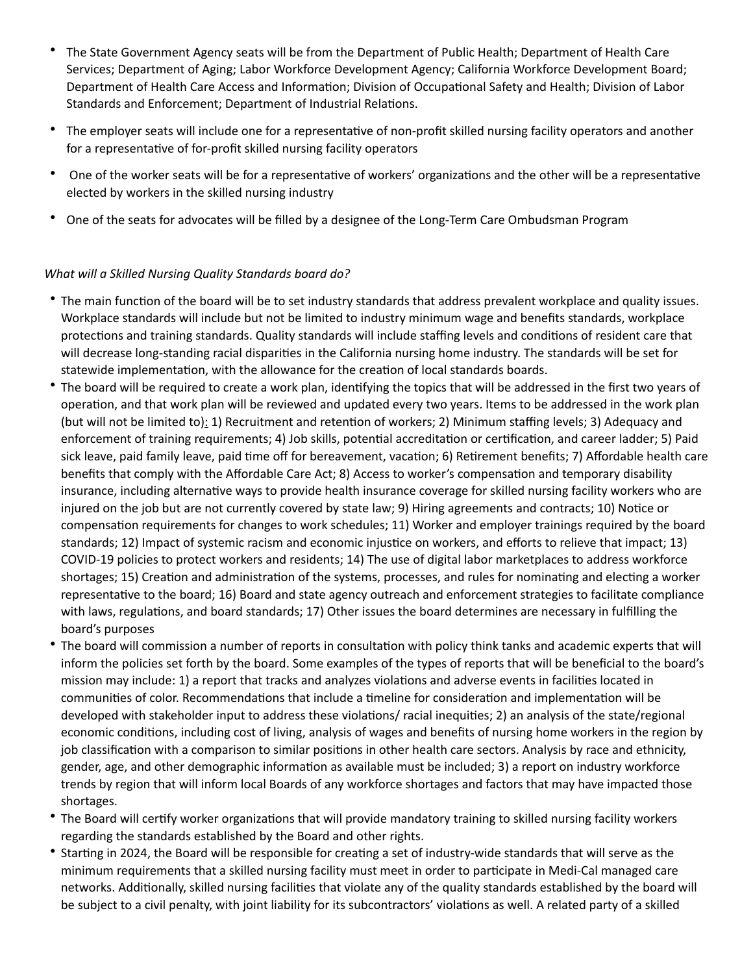- The State Government Agency seats will be from the Department of Public Health; Department of Health Care Services; Department of Aging; Labor Workforce Development Agency; California Workforce Development Board; Department of Health Care Access and Information; Division of Occupational Safety and Health; Division of Labor Standards and Enforcement; Department of Industrial Relations.
- The employer seats will include one for a representative of non-profit skilled nursing facility operators and another for a representative of for-profit skilled nursing facility operators
- One of the worker seats will be for a representative of workers' organizations and the other will be a representative elected by workers in the skilled nursing industry
- One of the seats for advocates will be filled by a designee of the Long-Term Care Ombudsman Program

## What will a Skilled Nursing Quality Standards board do?

- The main function of the board will be to set industry standards that address prevalent workplace and quality issues. Workplace standards will include but not be limited to industry minimum wage and benefits standards, workplace protections and training standards. Quality standards will include staffing levels and conditions of resident care that will decrease long-standing racial disparities in the California nursing home industry. The standards will be set for statewide implementation, with the allowance for the creation of local standards boards.
- The board will be required to create a work plan, identifying the topics that will be addressed in the first two years of operation, and that work plan will be reviewed and updated every two years. Items to be addressed in the work plan (but will not be limited to): 1) Recruitment and retention of workers; 2) Minimum staffing levels; 3) Adequacy and enforcement of training requirements; 4) Job skills, potential accreditation or certification, and career ladder; 5) Paid sick leave, paid family leave, paid time off for bereavement, vacation; 6) Retirement benefits; 7) Affordable health care benefits that comply with the Affordable Care Act; 8) Access to worker's compensation and temporary disability insurance, including alternative ways to provide health insurance coverage for skilled nursing facility workers who are injured on the job but are not currently covered by state law; 9) Hiring agreements and contracts; 10) Notice or compensation requirements for changes to work schedules; 11) Worker and employer trainings required by the board standards; 12) Impact of systemic racism and economic injustice on workers, and efforts to relieve that impact; 13) COVID-19 policies to protect workers and residents; 14) The use of digital labor marketplaces to address workforce shortages; 15) Creation and administration of the systems, processes, and rules for nominating and electing a worker representative to the board; 16) Board and state agency outreach and enforcement strategies to facilitate compliance with laws, regulations, and board standards; 17) Other issues the board determines are necessary in fulfilling the board's purposes
- The board will commission a number of reports in consultation with policy think tanks and academic experts that will inform the policies set forth by the board. Some examples of the types of reports that will be beneficial to the board's mission may include: 1) a report that tracks and analyzes violations and adverse events in facilities located in communities of color. Recommendations that include a timeline for consideration and implementation will be developed with stakeholder input to address these violations/ racial inequities; 2) an analysis of the state/regional economic conditions, including cost of living, analysis of wages and benefits of nursing home workers in the region by job classification with a comparison to similar positions in other health care sectors. Analysis by race and ethnicity, gender, age, and other demographic information as available must be included; 3) a report on industry workforce trends by region that will inform local Boards of any workforce shortages and factors that may have impacted those shortages.
- The Board will certify worker organizations that will provide mandatory training to skilled nursing facility workers regarding the standards established by the Board and other rights.
- Starting in 2024, the Board will be responsible for creating a set of industry-wide standards that will serve as the minimum requirements that a skilled nursing facility must meet in order to participate in Medi-Cal managed care networks. Additionally, skilled nursing facilities that violate any of the quality standards established by the board will be subject to a civil penalty, with joint liability for its subcontractors' violations as well. A related party of a skilled